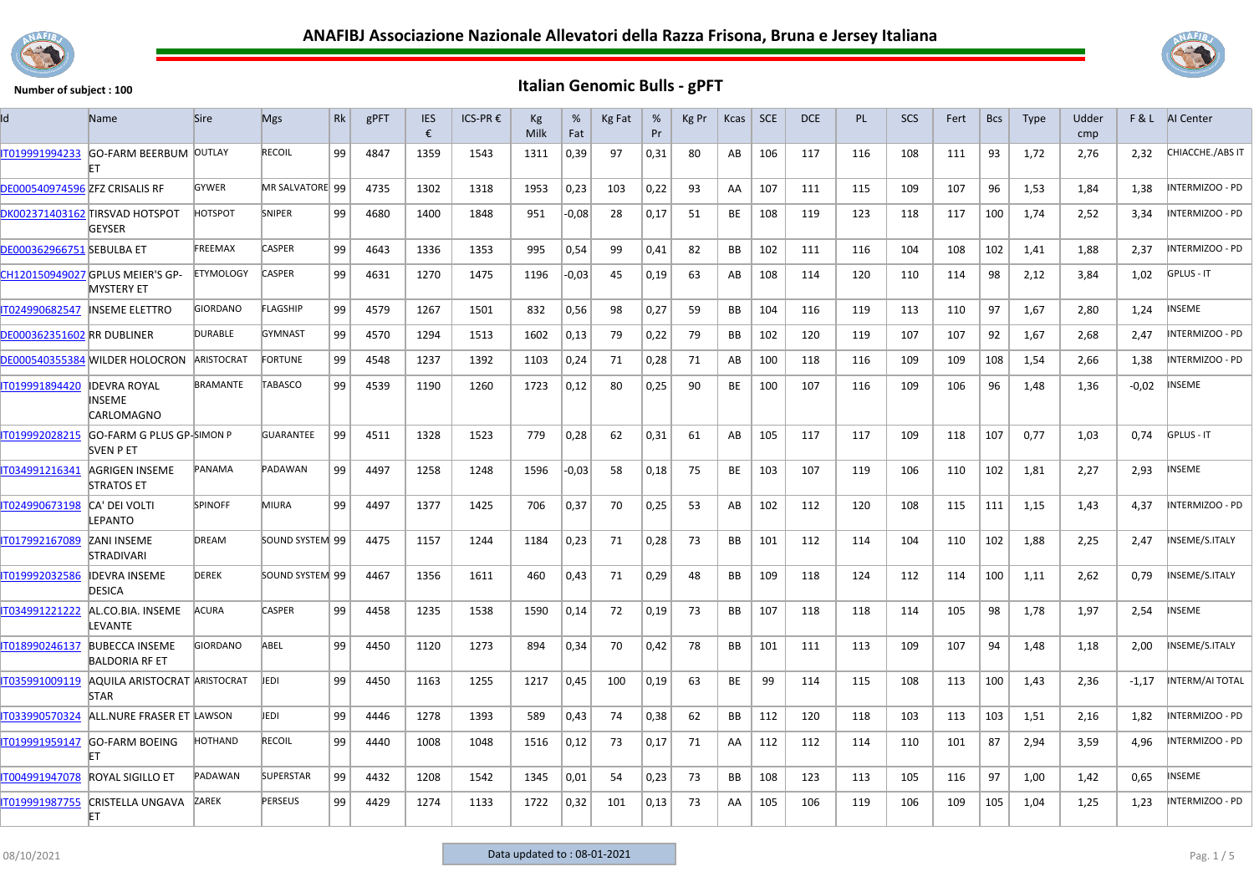



|                                       | Name                                                  | <b>Sire</b>      | <b>Mgs</b>       | Rk | gPFT | <b>IES</b><br>€ | ICS-PR € | Kg<br>Milk | %<br>Fat | Kg Fat | %<br>Pr | Kg Pr | Kcas      | <b>SCE</b> | DCE | PL. | <b>SCS</b> | Fert | <b>Bcs</b> | <b>Type</b> | Udder<br>cmp |         | <b>F&amp;L</b> AI Center |
|---------------------------------------|-------------------------------------------------------|------------------|------------------|----|------|-----------------|----------|------------|----------|--------|---------|-------|-----------|------------|-----|-----|------------|------|------------|-------------|--------------|---------|--------------------------|
| IT019991994233                        | <b>GO-FARM BEERBUM OUTLAY</b>                         |                  | <b>RECOIL</b>    | 99 | 4847 | 1359            | 1543     | 1311       | 0,39     | 97     | 0,31    | 80    | AB        | 106        | 117 | 116 | 108        | 111  | 93         | 1,72        | 2,76         | 2,32    | CHIACCHE./ABS IT         |
| <b>DE000540974596 ZFZ CRISALIS RF</b> |                                                       | <b>GYWER</b>     | MR SALVATORE 99  |    | 4735 | 1302            | 1318     | 1953       | 0,23     | 103    | 0,22    | 93    | AA        | 107        | 111 | 115 | 109        | 107  | 96         | 1,53        | 1,84         | 1,38    | INTERMIZOO - PD          |
|                                       | DK002371403162 TIRSVAD HOTSPOT<br><b>GEYSER</b>       | HOTSPOT          | <b>SNIPER</b>    | 99 | 4680 | 1400            | 1848     | 951        | $-0,08$  | 28     | 0,17    | 51    | BE        | 108        | 119 | 123 | 118        | 117  | 100        | 1,74        | 2,52         | 3,34    | INTERMIZOO - PD          |
| <b>DE000362966751 SEBULBA ET</b>      |                                                       | FREEMAX          | CASPER           | 99 | 4643 | 1336            | 1353     | 995        | 0,54     | 99     | 0,41    | 82    | <b>BB</b> | 102        | 111 | 116 | 104        | 108  | 102        | 1,41        | 1,88         | 2,37    | INTERMIZOO - PD          |
|                                       | CH120150949027 GPLUS MEIER'S GP-<br><b>MYSTERY ET</b> | <b>ETYMOLOGY</b> | <b>CASPER</b>    | 99 | 4631 | 1270            | 1475     | 1196       | $-0,03$  | 45     | 0,19    | 63    | AB        | 108        | 114 | 120 | 110        | 114  | 98         | 2,12        | 3,84         | 1,02    | GPLUS - IT               |
| IT024990682547                        | <b>INSEME ELETTRO</b>                                 | GIORDANO         | <b>FLAGSHIP</b>  | 99 | 4579 | 1267            | 1501     | 832        | 0,56     | 98     | 0,27    | 59    | BB        | 104        | 116 | 119 | 113        | 110  | 97         | 1,67        | 2,80         | 1,24    | NSEME                    |
| <b>DE000362351602 RR DUBLINER</b>     |                                                       | <b>DURABLE</b>   | <b>GYMNAST</b>   | 99 | 4570 | 1294            | 1513     | 1602       | 0,13     | 79     | 0,22    | 79    | <b>BB</b> | 102        | 120 | 119 | 107        | 107  | 92         | 1,67        | 2,68         | 2.47    | INTERMIZOO - PD          |
|                                       | DE000540355384 MILDER HOLOCRON                        | ARISTOCRAT       | <b>FORTUNE</b>   | 99 | 4548 | 1237            | 1392     | 1103       | 0,24     | 71     | 0,28    | 71    | AB        | 100        | 118 | 116 | 109        | 109  | 108        | 1.54        | 2.66         | 1.38    | INTERMIZOO - PD          |
| IT019991894420                        | <b>IDEVRA ROYAL</b><br>NSEME<br>CARLOMAGNO            | <b>BRAMANTE</b>  | <b>TABASCO</b>   | 99 | 4539 | 1190            | 1260     | 1723       | 0,12     | 80     | 0,25    | 90    | BE        | 100        | 107 | 116 | 109        | 106  | 96         | 1,48        | 1,36         | $-0,02$ | NSEME                    |
| IT019992028215                        | GO-FARM G PLUS GP-SIMON P<br><b>SVEN PET</b>          |                  | <b>GUARANTEE</b> | 99 | 4511 | 1328            | 1523     | 779        | 0,28     | 62     | 0,31    | 61    | AB        | 105        | 117 | 117 | 109        | 118  | 107        | 0,77        | 1,03         | 0,74    | GPLUS - IT               |
| IT034991216341                        | AGRIGEN INSEME<br><b>STRATOS ET</b>                   | PANAMA           | PADAWAN          | 99 | 4497 | 1258            | 1248     | 1596       | $-0,03$  | 58     | 0,18    | 75    | BE        | 103        | 107 | 119 | 106        | 110  | 102        | 1,81        | 2,27         | 2,93    | INSEME                   |
| IT024990673198                        | CA' DEI VOLTI<br>LEPANTO                              | <b>SPINOFF</b>   | MIURA            | 99 | 4497 | 1377            | 1425     | 706        | 0,37     | 70     | 0,25    | 53    | AB        | 102        | 112 | 120 | 108        | 115  | 111        | 1,15        | 1,43         | 4,37    | INTERMIZOO - PD          |
| IT017992167089                        | ZANI INSEME<br><b>STRADIVARI</b>                      | <b>DREAM</b>     | SOUND SYSTEM 99  |    | 4475 | 1157            | 1244     | 1184       | 0,23     | 71     | 0,28    | 73    | BB        | 101        | 112 | 114 | 104        | 110  | 102        | 1,88        | 2,25         | 2,47    | INSEME/S.ITALY           |
| IT019992032586                        | <b>IDEVRA INSEME</b><br><b>DESICA</b>                 | <b>DEREK</b>     | SOUND SYSTEM 99  |    | 4467 | 1356            | 1611     | 460        | 0,43     | 71     | 0,29    | 48    | BB        | 109        | 118 | 124 | 112        | 114  | 100        | 1,11        | 2,62         | 0,79    | INSEME/S.ITALY           |
| IT034991221222                        | AL.CO.BIA. INSEME<br><b>LEVANTE</b>                   | ACURA            | CASPER           | 99 | 4458 | 1235            | 1538     | 1590       | 0,14     | 72     | 0,19    | 73    | BB        | 107        | 118 | 118 | 114        | 105  | 98         | 1,78        | 1,97         | 2,54    | <b>NSEME</b>             |
| IT018990246137                        | <b>BUBECCA INSEME</b><br><b>BALDORIA RF ET</b>        | <b>GIORDANO</b>  | ABEL             | 99 | 4450 | 1120            | 1273     | 894        | 0,34     | 70     | 0.42    | 78    | <b>BB</b> | 101        | 111 | 113 | 109        | 107  | 94         | 1,48        | 1,18         | 2,00    | INSEME/S.ITALY           |
| IT035991009119                        | <b>AQUILA ARISTOCRAT ARISTOCRAT</b><br><b>STAR</b>    |                  | JEDI             | 99 | 4450 | 1163            | 1255     | 1217       | 0,45     | 100    | 0,19    | 63    | <b>BE</b> | 99         | 114 | 115 | 108        | 113  | 100        | 1,43        | 2,36         | $-1,17$ | INTERM/AI TOTAL          |
| IT033990570324                        | ALL.NURE FRASER ET LAWSON                             |                  | <b>IEDI</b>      | 99 | 4446 | 1278            | 1393     | 589        | 0,43     | 74     | 0,38    | 62    | BB        | 112        | 120 | 118 | 103        | 113  | 103        | 1,51        | 2,16         | 1,82    | INTERMIZOO - PD          |
| IT019991959147                        | <b>GO-FARM BOEING</b>                                 | <b>HOTHAND</b>   | <b>RECOIL</b>    | 99 | 4440 | 1008            | 1048     | 1516       | 0,12     | 73     | 0,17    | 71    | AA        | 112        | 112 | 114 | 110        | 101  | 87         | 2,94        | 3,59         | 4,96    | INTERMIZOO - PD          |
| IT004991947078                        | <b>ROYAL SIGILLO ET</b>                               | PADAWAN          | <b>SUPERSTAR</b> | 99 | 4432 | 1208            | 1542     | 1345       | 0,01     | 54     | 0,23    | 73    | BB        | 108        | 123 | 113 | 105        | 116  | 97         | 1,00        | 1,42         | 0,65    | INSEME                   |
| T019991987755                         | <b>CRISTELLA UNGAVA</b><br>ΈT                         | ZAREK            | <b>PERSEUS</b>   | 99 | 4429 | 1274            | 1133     | 1722       | 0,32     | 101    | 0,13    | 73    | AA.       | 105        | 106 | 119 | 106        | 109  | 105        | 1,04        | 1,25         | 1,23    | INTERMIZOO - PD          |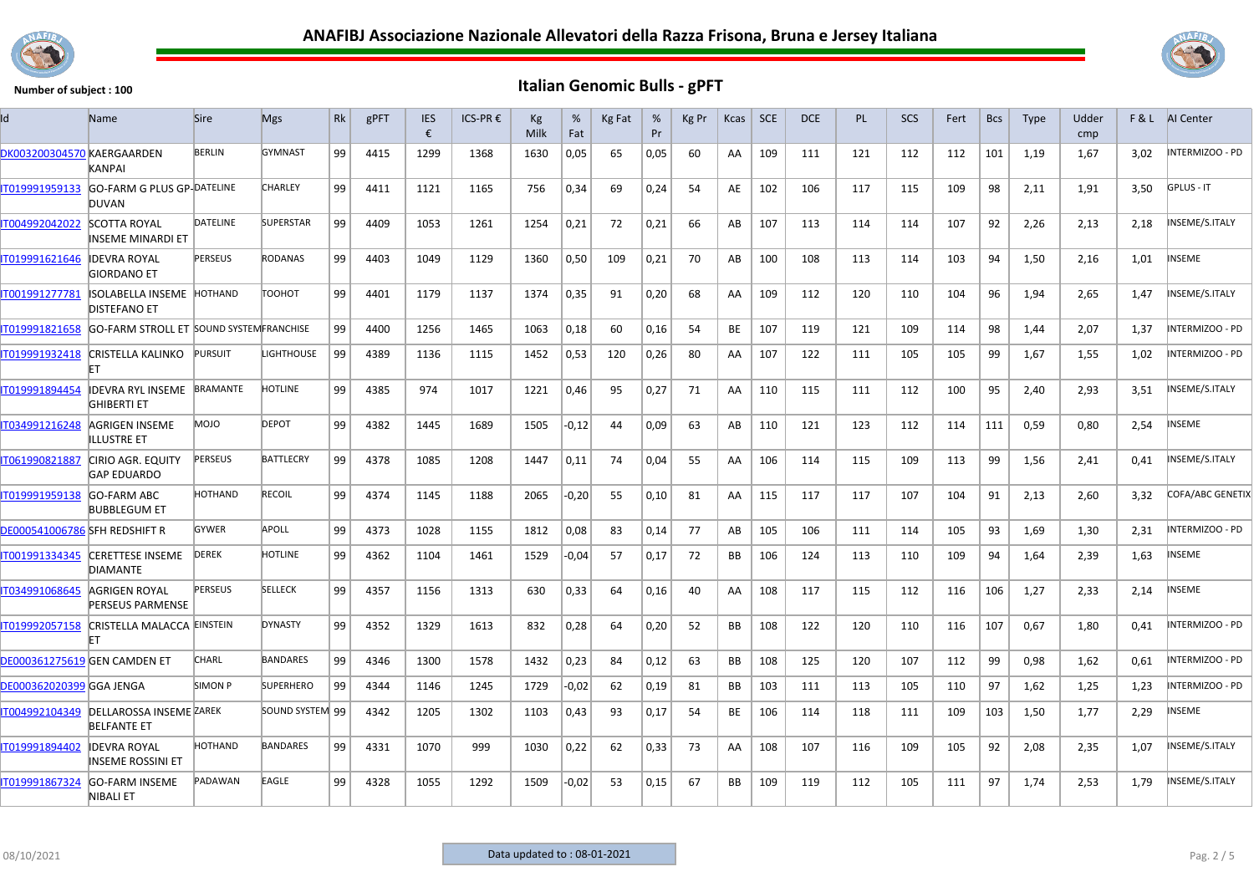



| Id                                   | Name                                                    | <b>Sire</b>     | <b>Mgs</b>       | Rk | gPFT | <b>IES</b><br>€ | ICS-PR € | Kg<br>Milk | %<br>Fat | <b>Kg Fat</b> | %<br>Pr | Kg Pr | Kcas      | <b>SCE</b> | <b>DCE</b> | <b>PL</b> | SCS | Fert | <b>Bcs</b> | <b>Type</b> | Udder<br>cmp |      | <b>F&amp;L</b> AI Center |
|--------------------------------------|---------------------------------------------------------|-----------------|------------------|----|------|-----------------|----------|------------|----------|---------------|---------|-------|-----------|------------|------------|-----------|-----|------|------------|-------------|--------------|------|--------------------------|
| DK003200304570 KAERGAARDEN           | KANPAI                                                  | <b>BERLIN</b>   | <b>GYMNAST</b>   | 99 | 4415 | 1299            | 1368     | 1630       | 0,05     | 65            | 0,05    | 60    | AA        | 109        | 111        | 121       | 112 | 112  | 101        | 1,19        | 1,67         | 3.02 | INTERMIZOO - PD          |
| T019991959133                        | <b>GO-FARM G PLUS GP-DATELINE</b><br>DUVAN              |                 | <b>CHARLEY</b>   | 99 | 4411 | 1121            | 1165     | 756        | 0,34     | 69            | 0,24    | 54    | AE        | 102        | 106        | 117       | 115 | 109  | 98         | 2,11        | 1,91         | 3,50 | GPLUS - IT               |
| IT004992042022                       | <b>SCOTTA ROYAL</b><br>INSEME MINARDI ET                | <b>DATELINE</b> | <b>SUPERSTAR</b> | 99 | 4409 | 1053            | 1261     | 1254       | 0,21     | 72            | 0,21    | 66    | AB        | 107        | 113        | 114       | 114 | 107  | 92         | 2,26        | 2,13         | 2,18 | INSEME/S.ITALY           |
| IT019991621646                       | <b>IDEVRA ROYAL</b><br><b>GIORDANO ET</b>               | <b>PERSEUS</b>  | <b>RODANAS</b>   | 99 | 4403 | 1049            | 1129     | 1360       | 0,50     | 109           | 0,21    | 70    | AB        | 100        | 108        | 113       | 114 | 103  | 94         | 1,50        | 2,16         | 1,01 | <b>INSEME</b>            |
| IT001991277781                       | ISOLABELLA INSEME HOTHAND<br><b>DISTEFANO ET</b>        |                 | тоонот           | 99 | 4401 | 1179            | 1137     | 1374       | 0,35     | 91            | 0,20    | 68    | AA        | 109        | 112        | 120       | 110 | 104  | 96         | 1,94        | 2,65         | 1,47 | NSEME/S.ITALY            |
| IT019991821658                       | GO-FARM STROLL ET SOUND SYSTEMFRANCHISE                 |                 |                  | 99 | 4400 | 1256            | 1465     | 1063       | 0,18     | 60            | 0,16    | 54    | BE        | 107        | 119        | 121       | 109 | 114  | 98         | 1,44        | 2,07         | 1,37 | INTERMIZOO - PD          |
| IT019991932418                       | <b>CRISTELLA KALINKO</b>                                | <b>PURSUIT</b>  | LIGHTHOUSE       | 99 | 4389 | 1136            | 1115     | 1452       | 0,53     | 120           | 0,26    | 80    | AA        | 107        | 122        | 111       | 105 | 105  | 99         | 1,67        | 1,55         | 1,02 | NTERMIZOO - PD           |
| IT019991894454                       | <b>IDEVRA RYL INSEME BRAMANTE</b><br><b>GHIBERTI ET</b> |                 | <b>HOTLINE</b>   | 99 | 4385 | 974             | 1017     | 1221       | 0,46     | 95            | 0,27    | 71    | AA        | 110        | 115        | 111       | 112 | 100  | 95         | 2,40        | 2,93         | 3,51 | INSEME/S.ITALY           |
| T034991216248                        | AGRIGEN INSEME<br>LLUSTRE ET                            | <b>DIOM</b>     | <b>DEPOT</b>     | 99 | 4382 | 1445            | 1689     | 1505       | $-0.12$  | 44            | 0,09    | 63    | AB        | 110        | 121        | 123       | 112 | 114  | 111        | 0,59        | 0,80         | 2,54 | <b>INSEME</b>            |
| IT061990821887                       | <b>CIRIO AGR. EQUITY</b><br><b>GAP EDUARDO</b>          | <b>PERSEUS</b>  | <b>BATTLECRY</b> | 99 | 4378 | 1085            | 1208     | 1447       | 0,11     | 74            | 0,04    | 55    | AA        | 106        | 114        | 115       | 109 | 113  | 99         | 1,56        | 2,41         | 0,41 | INSEME/S.ITALY           |
| IT019991959138                       | <b>IGO-FARM ABC</b><br><b>BUBBLEGUM ET</b>              | HOTHAND         | <b>RECOIL</b>    | 99 | 4374 | 1145            | 1188     | 2065       | $-0,20$  | 55            | 0,10    | 81    | AA        | 115        | 117        | 117       | 107 | 104  | 91         | 2,13        | 2,60         | 3,32 | COFA/ABC GENETIX         |
| <b>DE000541006786 SFH REDSHIFT R</b> |                                                         | <b>GYWER</b>    | <b>APOLL</b>     | 99 | 4373 | 1028            | 1155     | 1812       | 0,08     | 83            | 0,14    | 77    | AB        | 105        | 106        | 111       | 114 | 105  | 93         | 1,69        | 1,30         | 2.31 | <b>INTERMIZOO - PD</b>   |
| IT001991334345                       | <b>CERETTESE INSEME</b><br><b>DIAMANTE</b>              | <b>DEREK</b>    | HOTLINE          | 99 | 4362 | 1104            | 1461     | 1529       | $-0,04$  | 57            | 0,17    | 72    | BB        | 106        | 124        | 113       | 110 | 109  | 94         | 1,64        | 2,39         | 1,63 | <b>NSEME</b>             |
| IT034991068645                       | AGRIGEN ROYAL<br><b>PERSEUS PARMENSE</b>                | <b>PERSEUS</b>  | <b>SELLECK</b>   | 99 | 4357 | 1156            | 1313     | 630        | 0,33     | 64            | 0,16    | 40    | AA        | 108        | 117        | 115       | 112 | 116  | 106        | 1,27        | 2,33         | 2,14 | <b>NSEME</b>             |
| IT019992057158                       | CRISTELLA MALACCA EINSTEIN                              |                 | <b>DYNASTY</b>   | 99 | 4352 | 1329            | 1613     | 832        | 0,28     | 64            | 0.20    | 52    | <b>BB</b> | 108        | 122        | 120       | 110 | 116  | 107        | 0.67        | 1.80         | 0.41 | INTERMIZOO - PD          |
| <b>DE000361275619 GEN CAMDEN ET</b>  |                                                         | <b>CHARL</b>    | <b>BANDARES</b>  | 99 | 4346 | 1300            | 1578     | 1432       | 0,23     | 84            | 0,12    | 63    | <b>BB</b> | 108        | 125        | 120       | 107 | 112  | 99         | 0,98        | 1,62         | 0,61 | INTERMIZOO - PD          |
| <b>DE000362020399 GGA JENGA</b>      |                                                         | SIMON P         | <b>SUPERHERO</b> | 99 | 4344 | 1146            | 1245     | 1729       | $-0,02$  | 62            | 0,19    | 81    | <b>BB</b> | 103        | 111        | 113       | 105 | 110  | 97         | 1,62        | 1,25         | 1.23 | INTERMIZOO - PD          |
| IT004992104349                       | <b>DELLAROSSA INSEME ZAREK</b><br><b>BELFANTE ET</b>    |                 | SOUND SYSTEM 99  |    | 4342 | 1205            | 1302     | 1103       | 0,43     | 93            | 0,17    | 54    | BE        | 106        | 114        | 118       | 111 | 109  | 103        | 1,50        | 1,77         | 2,29 | <b>NSEME</b>             |
| IT019991894402                       | <b>IDEVRA ROYAL</b><br>INSEME ROSSINI ET                | HOTHAND         | <b>BANDARES</b>  | 99 | 4331 | 1070            | 999      | 1030       | 0,22     | 62            | 0,33    | 73    | AA        | 108        | 107        | 116       | 109 | 105  | 92         | 2,08        | 2,35         | 1,07 | INSEME/S.ITALY           |
| IT019991867324                       | <b>GO-FARM INSEME</b><br>NIBALI ET                      | PADAWAN         | EAGLE            | 99 | 4328 | 1055            | 1292     | 1509       | $-0.02$  | 53            | 0,15    | 67    | <b>BB</b> | 109        | 119        | 112       | 105 | 111  | 97         | 1,74        | 2,53         | 1,79 | INSEME/S.ITALY           |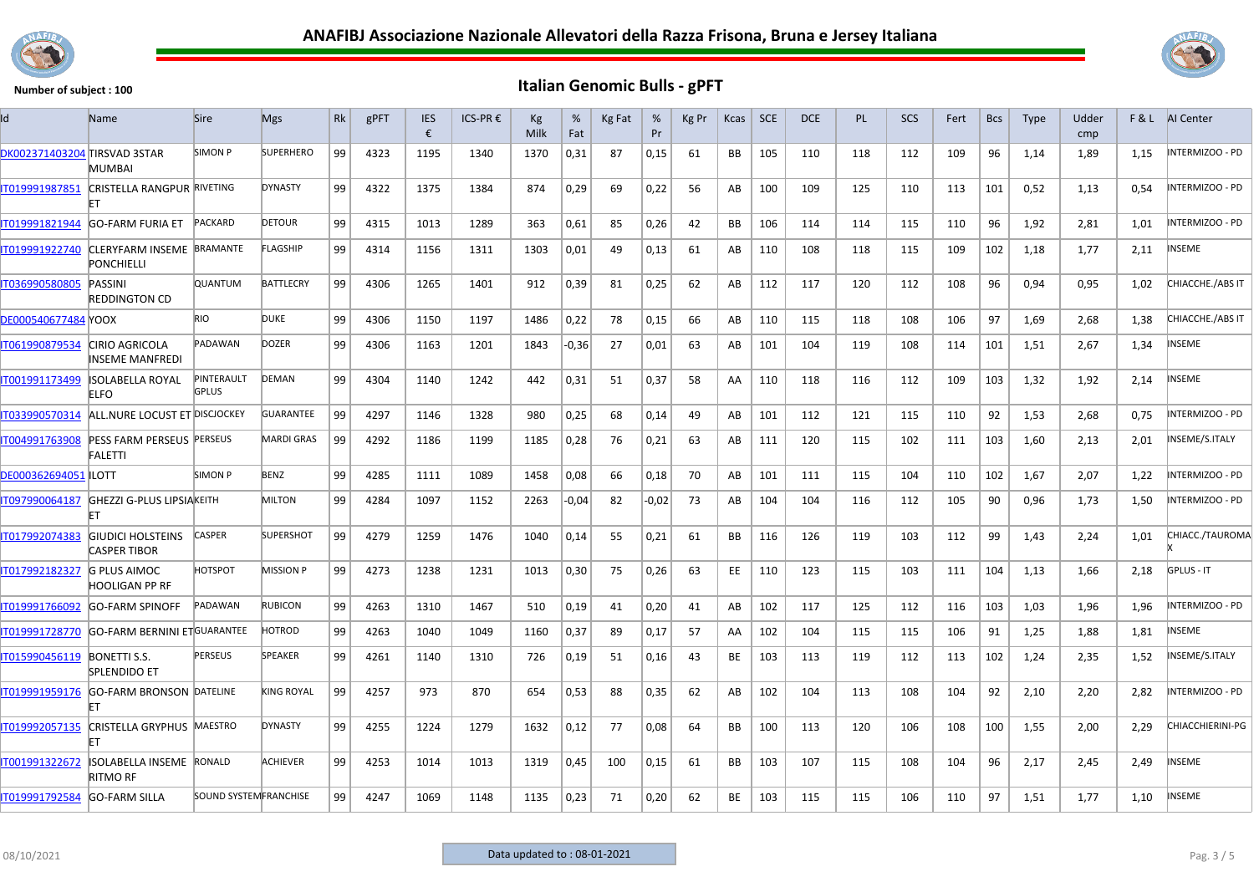



| Id                                  | <b>Name</b>                                     | <b>Sire</b>                  | <b>Mgs</b>        | Rk | gPFT | <b>IES</b><br>€ | ICS-PR€ | Kg<br>Milk | %<br>Fat | Kg Fat | %<br>Pr | Kg Pr | <b>Kcas</b> | <b>SCE</b> | <b>DCE</b> | <b>PL</b> | <b>SCS</b> | Fert | <b>Bcs</b> | <b>Type</b> | Udder<br>cmp |      | <b>F&amp;L</b> AI Center |
|-------------------------------------|-------------------------------------------------|------------------------------|-------------------|----|------|-----------------|---------|------------|----------|--------|---------|-------|-------------|------------|------------|-----------|------------|------|------------|-------------|--------------|------|--------------------------|
| <b>DK002371403204 TIRSVAD 3STAR</b> | <b>MUMBAI</b>                                   | <b>SIMON P</b>               | <b>SUPERHERO</b>  | 99 | 4323 | 1195            | 1340    | 1370       | 0,31     | 87     | 0,15    | 61    | BB          | 105        | 110        | 118       | 112        | 109  | 96         | 1,14        | 1,89         | 1,15 | INTERMIZOO - PD          |
| IT019991987851                      | CRISTELLA RANGPUR RIVETING                      |                              | <b>DYNASTY</b>    | 99 | 4322 | 1375            | 1384    | 874        | 0,29     | 69     | 0,22    | 56    | AB          | 100        | 109        | 125       | 110        | 113  | 101        | 0,52        | 1,13         | 0,54 | INTERMIZOO - PD          |
| IT019991821944                      | GO-FARM FURIA ET PACKARD                        |                              | <b>DETOUR</b>     | 99 | 4315 | 1013            | 1289    | 363        | 0,61     | 85     | 0,26    | 42    | BB          | 106        | 114        | 114       | 115        | 110  | 96         | 1,92        | 2,81         | 1,01 | INTERMIZOO - PD          |
| IT019991922740                      | CLERYFARM INSEME BRAMANTE<br>PONCHIELLI         |                              | <b>FLAGSHIP</b>   | 99 | 4314 | 1156            | 1311    | 1303       | 0,01     | 49     | 0,13    | 61    | AB          | 110        | 108        | 118       | 115        | 109  | 102        | 1,18        | 1,77         | 2,11 | NSEME                    |
| IT036990580805                      | PASSINI<br><b>REDDINGTON CD</b>                 | QUANTUM                      | <b>BATTLECRY</b>  | 99 | 4306 | 1265            | 1401    | 912        | 0,39     | 81     | 0,25    | 62    | AB          | 112        | 117        | 120       | 112        | 108  | 96         | 0,94        | 0,95         | 1,02 | CHIACCHE./ABS IT         |
| DE000540677484 YOOX                 |                                                 | <b>RIO</b>                   | DUKE              | 99 | 4306 | 1150            | 1197    | 1486       | 0,22     | 78     | 0,15    | 66    | AB          | 110        | 115        | 118       | 108        | 106  | 97         | 1,69        | 2,68         | 1.38 | CHIACCHE./ABS IT         |
| IT061990879534                      | <b>CIRIO AGRICOLA</b><br>INSEME MANFREDI        | PADAWAN                      | <b>DOZER</b>      | 99 | 4306 | 1163            | 1201    | 1843       | -0,36    | 27     | 0,01    | 63    | AB          | 101        | 104        | 119       | 108        | 114  | 101        | 1,51        | 2,67         | 1,34 | NSEME                    |
| IT001991173499                      | <b>ISOLABELLA ROYAL</b><br><b>ELFO</b>          | PINTERAULT<br><b>GPLUS</b>   | <b>DEMAN</b>      | 99 | 4304 | 1140            | 1242    | 442        | 0,31     | 51     | 0,37    | 58    | AA          | 110        | 118        | 116       | 112        | 109  | 103        | 1,32        | 1,92         | 2,14 | NSEME                    |
| IT033990570314                      | ALL.NURE LOCUST ET DISCJOCKEY                   |                              | <b>GUARANTEE</b>  | 99 | 4297 | 1146            | 1328    | 980        | 0,25     | 68     | 0,14    | 49    | AB          | 101        | 112        | 121       | 115        | 110  | 92         | 1,53        | 2,68         | 0,75 | INTERMIZOO - PD          |
| IT004991763908                      | PESS FARM PERSEUS PERSEUS<br><b>FALETTI</b>     |                              | <b>MARDI GRAS</b> | 99 | 4292 | 1186            | 1199    | 1185       | 0,28     | 76     | 0,21    | 63    | AB          | 111        | 120        | 115       | 102        | 111  | 103        | 1,60        | 2,13         | 2,01 | INSEME/S.ITALY           |
| <b>DE000362694051 ILOTT</b>         |                                                 | <b>SIMON P</b>               | BENZ              | 99 | 4285 | 1111            | 1089    | 1458       | 0,08     | 66     | 0,18    | 70    | AB          | 101        | 111        | 115       | 104        | 110  | 102        | 1,67        | 2,07         | 1,22 | INTERMIZOO - PD          |
| IT097990064187                      | <b>GHEZZI G-PLUS LIPSIAKEITH</b>                |                              | <b>MILTON</b>     | 99 | 4284 | 1097            | 1152    | 2263       | $-0,04$  | 82     | $-0,02$ | 73    | AB          | 104        | 104        | 116       | 112        | 105  | 90         | 0,96        | 1,73         | 1,50 | INTERMIZOO - PD          |
| IT017992074383                      | <b>GIUDICI HOLSTEINS</b><br><b>CASPER TIBOR</b> | <b>CASPER</b>                | <b>SUPERSHOT</b>  | 99 | 4279 | 1259            | 1476    | 1040       | 0,14     | 55     | 0,21    | 61    | BB          | 116        | 126        | 119       | 103        | 112  | 99         | 1,43        | 2,24         | 1,01 | CHIACC./TAUROMA          |
| IT017992182327                      | <b>G PLUS AIMOC</b><br><b>HOOLIGAN PP RF</b>    | HOTSPOT                      | <b>MISSION P</b>  | 99 | 4273 | 1238            | 1231    | 1013       | 0,30     | 75     | 0,26    | 63    | EE          | 110        | 123        | 115       | 103        | 111  | 104        | 1,13        | 1,66         | 2,18 | <b>GPLUS - IT</b>        |
| IT019991766092                      | <b>GO-FARM SPINOFF</b>                          | PADAWAN                      | <b>RUBICON</b>    | 99 | 4263 | 1310            | 1467    | 510        | 0,19     | 41     | 0,20    | 41    | AB          | 102        | 117        | 125       | 112        | 116  | 103        | 1,03        | 1,96         | 1,96 | INTERMIZOO - PD          |
| T019991728770                       | <b>GO-FARM BERNINI ET GUARANTEE</b>             |                              | <b>HOTROD</b>     | 99 | 4263 | 1040            | 1049    | 1160       | 0,37     | 89     | 0,17    | 57    | AA          | 102        | 104        | 115       | 115        | 106  | 91         | 1,25        | 1,88         | 1,81 | NSEME                    |
| IT015990456119                      | <b>BONETTI S.S.</b><br><b>SPLENDIDO ET</b>      | <b>PERSEUS</b>               | SPEAKER           | 99 | 4261 | 1140            | 1310    | 726        | 0,19     | 51     | 0,16    | 43    | BE          | 103        | 113        | 119       | 112        | 113  | 102        | 1,24        | 2,35         | 1,52 | INSEME/S.ITALY           |
| IT019991959176                      | <b>GO-FARM BRONSON DATELINE</b>                 |                              | <b>KING ROYAL</b> | 99 | 4257 | 973             | 870     | 654        | 0,53     | 88     | 0,35    | 62    | AB          | 102        | 104        | 113       | 108        | 104  | 92         | 2,10        | 2,20         | 2,82 | INTERMIZOO - PD          |
| IT019992057135                      | CRISTELLA GRYPHUS MAESTRO                       |                              | <b>DYNASTY</b>    | 99 | 4255 | 1224            | 1279    | 1632       | 0,12     | 77     | 0,08    | 64    | BB          | 100        | 113        | 120       | 106        | 108  | 100        | 1,55        | 2,00         | 2,29 | <b>CHIACCHIERINI-PG</b>  |
| IT001991322672                      | ISOLABELLA INSEME RONALD<br>RITMO RF            |                              | <b>ACHIEVER</b>   | 99 | 4253 | 1014            | 1013    | 1319       | 0,45     | 100    | 0,15    | 61    | BB          | 103        | 107        | 115       | 108        | 104  | 96         | 2,17        | 2,45         | 2,49 | NSEME                    |
| IT019991792584                      | <b>GO-FARM SILLA</b>                            | <b>SOUND SYSTEMFRANCHISE</b> |                   | 99 | 4247 | 1069            | 1148    | 1135       | 0,23     | 71     | 0,20    | 62    | BE          | 103        | 115        | 115       | 106        | 110  | 97         | 1,51        | 1,77         | 1,10 | INSEME                   |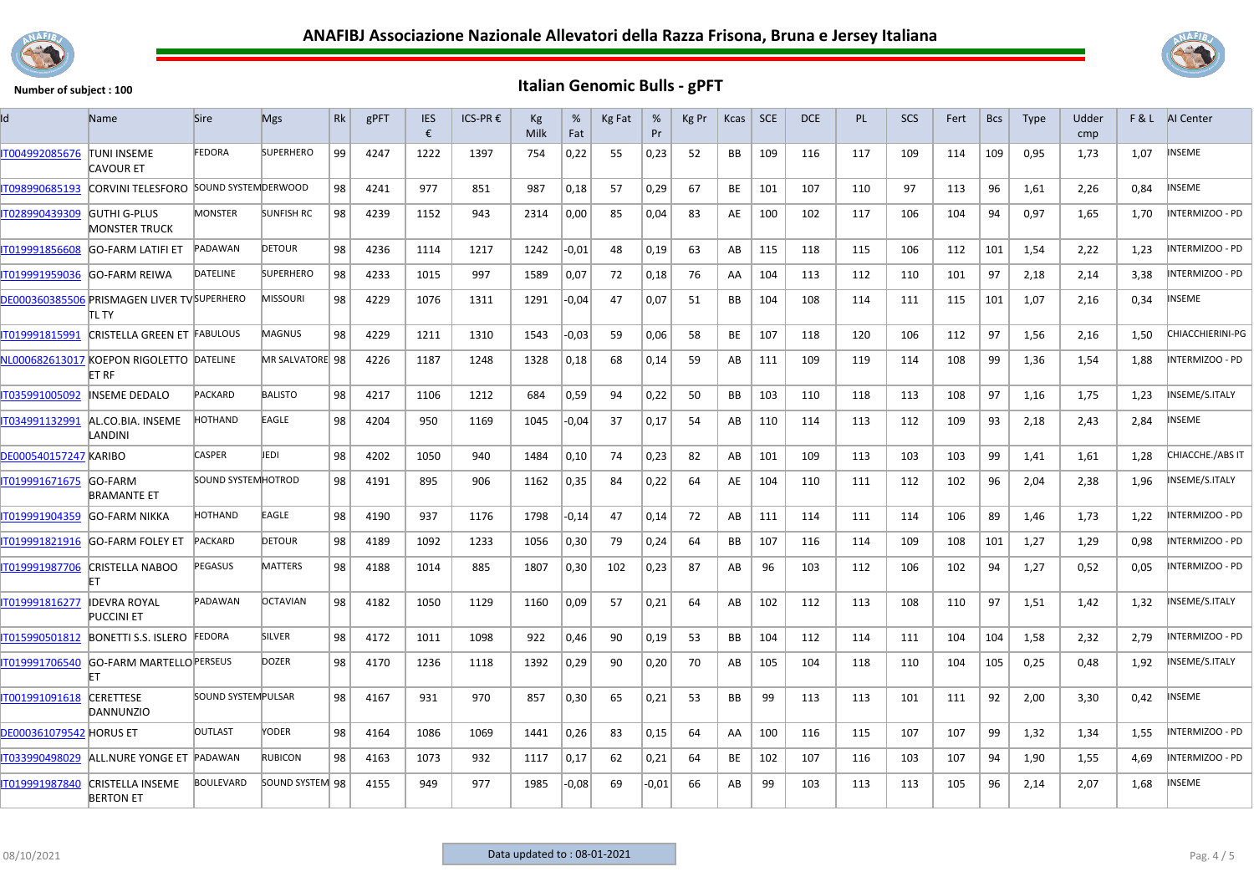



| ld                             | Name                                                 | <b>Sire</b>                | <b>Mgs</b>        | Rk | gPFT | <b>IES</b><br>€ | ICS-PR € | Kg<br>Milk | %<br>Fat | Kg Fat | %<br>Pr | Kg Pr | Kcas      | <b>SCE</b> | DCE | <b>PL</b> | <b>SCS</b> | Fert | <b>Bcs</b> | <b>Type</b> | Udder<br>cmp | F&L  | AI Center        |
|--------------------------------|------------------------------------------------------|----------------------------|-------------------|----|------|-----------------|----------|------------|----------|--------|---------|-------|-----------|------------|-----|-----------|------------|------|------------|-------------|--------------|------|------------------|
| IT004992085676                 | TUNI INSEME<br><b>CAVOUR ET</b>                      | <b>FEDORA</b>              | <b>SUPERHERO</b>  | 99 | 4247 | 1222            | 1397     | 754        | 0,22     | 55     | 0,23    | 52    | <b>BB</b> | 109        | 116 | 117       | 109        | 114  | 109        | 0,95        | 1,73         | 1,07 | <b>INSEME</b>    |
| IT098990685193                 | CORVINI TELESFORO SOUND SYSTEM DERWOOD               |                            |                   | 98 | 4241 | 977             | 851      | 987        | 0,18     | 57     | 0,29    | 67    | ВE        | 101        | 107 | 110       | 97         | 113  | 96         | 1,61        | 2,26         | 0,84 | INSEME           |
| IT028990439309                 | <b>GUTHI G-PLUS</b><br><b>MONSTER TRUCK</b>          | <b>MONSTER</b>             | <b>SUNFISH RC</b> | 98 | 4239 | 1152            | 943      | 2314       | 0,00     | 85     | 0,04    | 83    | AE        | 100        | 102 | 117       | 106        | 104  | 94         | 0,97        | 1,65         | 1,70 | INTERMIZOO - PD  |
| IT019991856608                 | <b>GO-FARM LATIFI ET</b>                             | PADAWAN                    | <b>DETOUR</b>     | 98 | 4236 | 1114            | 1217     | 1242       | -0,01    | 48     | 0.19    | 63    | AB        | 115        | 118 | 115       | 106        | 112  | 101        | 1,54        | 2,22         | 1,23 | INTERMIZOO - PD  |
| IT019991959036                 | <b>GO-FARM REIWA</b>                                 | <b>DATELINE</b>            | <b>SUPERHERO</b>  | 98 | 4233 | 1015            | 997      | 1589       | 0,07     | 72     | 0,18    | 76    | AA.       | 104        | 113 | 112       | 110        | 101  | 97         | 2,18        | 2,14         | 3,38 | INTERMIZOO - PD  |
|                                | DE000360385506 PRISMAGEN LIVER TVSUPERHERO<br>itl ty |                            | <b>MISSOURI</b>   | 98 | 4229 | 1076            | 1311     | 1291       | $-0,04$  | 47     | 0,07    | 51    | <b>BB</b> | 104        | 108 | 114       | 111        | 115  | 101        | 1,07        | 2,16         | 0,34 | INSEME           |
| IT019991815991                 | <b>CRISTELLA GREEN ET FABULOUS</b>                   |                            | <b>MAGNUS</b>     | 98 | 4229 | 1211            | 1310     | 1543       | $-0,03$  | 59     | 0,06    | 58    | BE        | 107        | 118 | 120       | 106        | 112  | 97         | 1,56        | 2,16         | 1,50 | CHIACCHIERINI-PG |
|                                | NL000682613017 KOEPON RIGOLETTO DATELINE<br>ET RF    |                            | MR SALVATORE 98   |    | 4226 | 1187            | 1248     | 1328       | 0,18     | 68     | 0,14    | 59    | AB        | 111        | 109 | 119       | 114        | 108  | 99         | 1,36        | 1,54         | 1,88 | INTERMIZOO - PD  |
| IT035991005092                 | INSEME DEDALO                                        | <b>PACKARD</b>             | <b>BALISTO</b>    | 98 | 4217 | 1106            | 1212     | 684        | 0,59     | 94     | 0,22    | 50    | BB        | 103        | 110 | 118       | 113        | 108  | 97         | 1,16        | 1,75         | 1,23 | INSEME/S.ITALY   |
| IT034991132991                 | AL.CO.BIA. INSEME<br>LANDINI                         | HOTHAND                    | EAGLE             | 98 | 4204 | 950             | 1169     | 1045       | -0,04    | 37     | 0,17    | 54    | AB        | 110        | 114 | 113       | 112        | 109  | 93         | 2,18        | 2,43         | 2,84 | INSEME           |
| <b>DE000540157247 KARIBO</b>   |                                                      | <b>CASPER</b>              | <b>JEDI</b>       | 98 | 4202 | 1050            | 940      | 1484       | 0,10     | 74     | 0,23    | 82    | AB        | 101        | 109 | 113       | 103        | 103  | 99         | 1,41        | 1,61         | 1,28 | CHIACCHE./ABS IT |
| IT019991671675                 | GO-FARM<br><b>BRAMANTE ET</b>                        | <b>SOUND SYSTEM HOTROD</b> |                   | 98 | 4191 | 895             | 906      | 1162       | 0,35     | 84     | 0,22    | 64    | AE        | 104        | 110 | 111       | 112        | 102  | 96         | 2,04        | 2,38         | 1,96 | INSEME/S.ITALY   |
| IT019991904359                 | <b>GO-FARM NIKKA</b>                                 | HOTHAND                    | EAGLE             | 98 | 4190 | 937             | 1176     | 1798       | $-0,14$  | 47     | 0,14    | 72    | AB        | 111        | 114 | 111       | 114        | 106  | 89         | 1,46        | 1,73         | 1,22 | INTERMIZOO - PD  |
| IT019991821916                 | <b>IGO-FARM FOLEY ET</b>                             | <b>PACKARD</b>             | <b>DETOUR</b>     | 98 | 4189 | 1092            | 1233     | 1056       | 0,30     | 79     | 0,24    | 64    | BB        | 107        | 116 | 114       | 109        | 108  | 101        | 1,27        | 1,29         | 0.98 | INTERMIZOO - PD  |
| IT019991987706                 | <b>CRISTELLA NABOO</b>                               | PEGASUS                    | <b>MATTERS</b>    | 98 | 4188 | 1014            | 885      | 1807       | 0,30     | 102    | 0,23    | 87    | AB        | 96         | 103 | 112       | 106        | 102  | 94         | 1,27        | 0,52         | 0,05 | INTERMIZOO - PD  |
| IT019991816277                 | <b>IDEVRA ROYAL</b><br><b>PUCCINI ET</b>             | PADAWAN                    | <b>OCTAVIAN</b>   | 98 | 4182 | 1050            | 1129     | 1160       | 0,09     | 57     | 0,21    | 64    | AB        | 102        | 112 | 113       | 108        | 110  | 97         | 1,51        | 1,42         | 1,32 | NSEME/S.ITALY    |
| IT015990501812                 | BONETTI S.S. ISLERO FEDORA                           |                            | SILVER            | 98 | 4172 | 1011            | 1098     | 922        | 0,46     | 90     | 0,19    | 53    | BB        | 104        | 112 | 114       | 111        | 104  | 104        | 1,58        | 2,32         | 2,79 | INTERMIZOO - PD  |
| IT019991706540                 | <b>GO-FARM MARTELLO PERSEUS</b><br>FT                |                            | <b>DOZER</b>      | 98 | 4170 | 1236            | 1118     | 1392       | 0,29     | 90     | 0,20    | 70    | AB        | 105        | 104 | 118       | 110        | 104  | 105        | 0,25        | 0,48         | 1,92 | INSEME/S.ITALY   |
| IT001991091618                 | <b>CERETTESE</b><br>DANNUNZIO                        | <b>SOUND SYSTEMPULSAR</b>  |                   | 98 | 4167 | 931             | 970      | 857        | 0,30     | 65     | 0,21    | 53    | BB        | 99         | 113 | 113       | 101        | 111  | 92         | 2,00        | 3,30         | 0,42 | <b>NSEME</b>     |
| <b>DE000361079542 HORUS ET</b> |                                                      | <b>OUTLAST</b>             | YODER             | 98 | 4164 | 1086            | 1069     | 1441       | 0,26     | 83     | 0,15    | 64    | AA        | 100        | 116 | 115       | 107        | 107  | 99         | 1,32        | 1,34         | 1,55 | INTERMIZOO - PD  |
| IT033990498029                 | ALL.NURE YONGE ET PADAWAN                            |                            | <b>RUBICON</b>    | 98 | 4163 | 1073            | 932      | 1117       | 0,17     | 62     | 0,21    | 64    | BE        | 102        | 107 | 116       | 103        | 107  | 94         | 1,90        | 1,55         | 4,69 | INTERMIZOO - PD  |
| IT019991987840                 | <b>CRISTELLA INSEME</b><br><b>BERTON ET</b>          | <b>BOULEVARD</b>           | SOUND SYSTEM 98   |    | 4155 | 949             | 977      | 1985       | $-0,08$  | 69     | $-0.01$ | 66    | AB        | 99         | 103 | 113       | 113        | 105  | 96         | 2,14        | 2,07         | 1,68 | NSEME            |